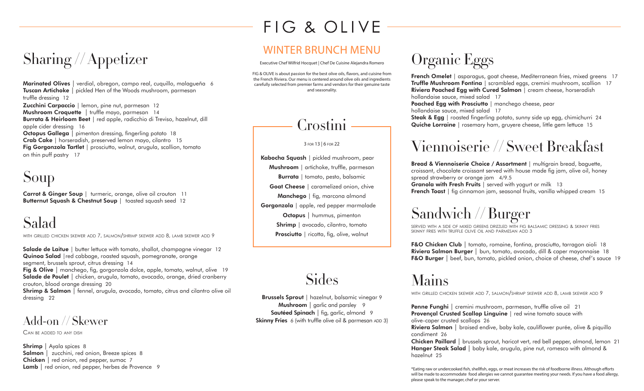# FIG & OLIVE

## Sharing // Appetizer

**Marinated Olives** | verdial, obregon, campo real, cuquillo, malagueña 6 **Tuscan Artichoke** | pickled Hen of the Woods mushroom, parmesan truffle dressing 12 **Zucchini Carpaccio** | lemon, pine nut, parmesan 12 **Mushroom Croquette** | truffle mayo, parmesan 14 **Burrata & Heirloom Beet** | red apple, radicchio di Treviso, hazelnut, dill apple cider dressing 16 **Octopus Gallega** | pimenton dressing, fingerling potato 18 **Crab Cake** | horseradish, preserved lemon mayo, cilantro 15 **Fig Gorgonzola Tartlet** | prosciutto, walnut, arugula, scallion, tomato on thin puff pastry 17

### Soup

**Carrot & Ginger Soup** | turmeric, orange, olive oil crouton 11 **Butternut Squash & Chestnut Soup** | toasted squash seed 12

### Salad

with grilled chicken skewer add 7, salmon/shrimp skewer add 8, lamb skewer add 9

**Salade de Laitue** | butter lettuce with tomato, shallot, champagne vinegar 12 **Quinoa Salad** |red cabbage, roasted squash, pomegranate, orange segment, brussels sprout, citrus dressing 14

**Fig & Olive** | manchego, fig, gorgonzola dolce, apple, tomato, walnut, olive 19 **Salade de Poulet** | chicken, arugula, tomato, avocado, orange, dried cranberry crouton, blood orange dressing 20

**Shrimp & Salmon** | fennel, arugula, avocado, tomato, citrus and cilantro olive oil dressing 22

#### Add-on // Skewer

Can be added to any dish

**Shrimp** | Ayala spices 8 **Salmon** | zucchini, red onion, Breeze spices 8 **Chicken** | red onion, red pepper, sumac 7 **Lamb** | red onion, red pepper, herbes de Provence 9

#### WINTER BRUNCH MENU

Executive Chef Wilfrid Hocquet | Chef De Cuisine Alejandra Romero

FIG & OLIVE is about passion for the best olive oils, flavors, and cuisine from the French Riviera. Our menu is centered around olive oils and ingredients carefully selected from premier farms and vendors for their genuine taste and seasonality.



3 for 13 | 6 for 22

**Kabocha Squash** | pickled mushroom, pear **Mushroom** | artichoke, truffle, parmesan **Burrata** | tomato, pesto, balsamic **Goat Cheese** | caramelized onion, chive **Manchego** | fig, marcona almond **Gorgonzola** | apple, red pepper marmalade **Octopus** | hummus, pimenton **Shrimp** | avocado, cilantro, tomato **Prosciutto** | ricotta, fig, olive, walnut

**Sides** 

**Brussels Sprout** | hazelnut, balsamic vinegar 9 **Mushroom** | garlic and parsley 9 **Sautéed Spinach** | fig, garlic, almond 9 **Skinny Fries** 6 (with truffle olive oil & parmesan ADD 3)

# Organic Eggs

**French Omelet** | asparagus, goat cheese, Mediterranean fries, mixed greens 17 **Truffle Mushroom Fontina** | scrambled eggs, cremini mushroom, scallion 17 **Riviera Poached Egg with Cured Salmon** | cream cheese, horseradish hollandaise sauce, mixed salad 17 **Poached Egg with Prosciutto** | manchego cheese, pear hollandaise sauce, mixed salad 17 **Steak & Egg** | roasted fingerling potato, sunny side up egg, chimichurri 24 **Quiche Lorraine** | rosemary ham, gruyere cheese, little gem lettuce 15

#### Viennoiserie // Sweet Breakfast

**Bread & Viennoiserie Choice / Assortment** | multigrain bread, baguette, croissant, chocolate croissant served with house made fig jam, olive oil, honey spread strawberry or orange jam 4/9.5 **Granola with Fresh Fruits** | served with yogurt or milk 13 **French Toast** | fig cinnamon jam, seasonal fruits, vanilla whipped cream 15

### Sandwich // Burger

served with a side of mixed greens drizzled with fig balsamic dressing & skinny fries skinny fries with truffle olive oil and parmesan add 3

**F&O Chicken Club** | tomato, romaine, fontina, prosciutto, tarragon aioli 18 **Riviera Salmon Burger** | bun, tomato, avocado, dill & caper mayonnaise 18 **F&O Burger** | beef, bun, tomato, pickled onion, choice of cheese, chef's sauce 19

#### Mains

with grilled chicken skewer add 7, salmon/shrimp skewer add 8, lamb skewer add 9

**Penne Funghi** | cremini mushroom, parmesan, truffle olive oil 21 **Provençal Crusted Scallop Linguine** | red wine tomato sauce with olive-caper crusted scallops 26

**Riviera Salmon** | braised endive, baby kale, cauliflower purée, olive & piquillo condiment 26

**Chicken Paillard** | brussels sprout, haricot vert, red bell pepper, almond, lemon 21 **Hanger Steak Salad** | baby kale, arugula, pine nut, romesco with almond & hazelnut 25

\*Eating raw or undercooked fish, shellfish, eggs, or meat increases the risk of foodborne illness. Although efforts will be made to accommodate food allergies we cannot guarantee meeting your needs. If you have a food allergy, please speak to the manager, chef or your server.